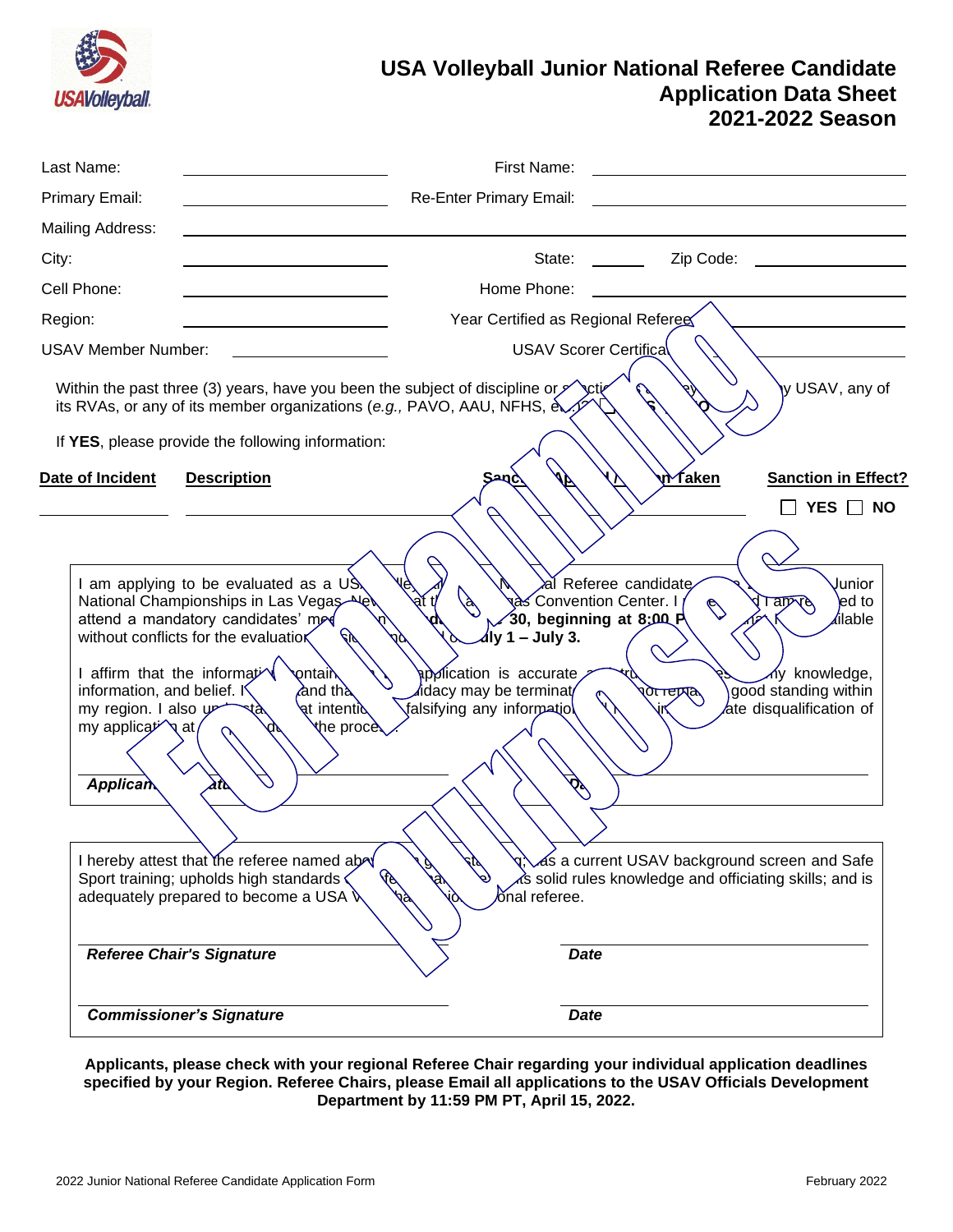

# **USA Volleyball Junior National Referee Candidate Application Data Sheet 2021-2022 Season**

| Last Name:                                                                          |                                                                                                                                                                                                                                                                                                                                                                                                                                            | First Name:                                                                                                                                                                     |                                                                                                                                                                                                                                |                                                                                                                |
|-------------------------------------------------------------------------------------|--------------------------------------------------------------------------------------------------------------------------------------------------------------------------------------------------------------------------------------------------------------------------------------------------------------------------------------------------------------------------------------------------------------------------------------------|---------------------------------------------------------------------------------------------------------------------------------------------------------------------------------|--------------------------------------------------------------------------------------------------------------------------------------------------------------------------------------------------------------------------------|----------------------------------------------------------------------------------------------------------------|
| Primary Email:                                                                      |                                                                                                                                                                                                                                                                                                                                                                                                                                            | Re-Enter Primary Email:                                                                                                                                                         |                                                                                                                                                                                                                                |                                                                                                                |
| Mailing Address:                                                                    |                                                                                                                                                                                                                                                                                                                                                                                                                                            |                                                                                                                                                                                 |                                                                                                                                                                                                                                |                                                                                                                |
| City:                                                                               |                                                                                                                                                                                                                                                                                                                                                                                                                                            | State:                                                                                                                                                                          | Zip Code:                                                                                                                                                                                                                      |                                                                                                                |
| Cell Phone:                                                                         |                                                                                                                                                                                                                                                                                                                                                                                                                                            | Home Phone:                                                                                                                                                                     |                                                                                                                                                                                                                                |                                                                                                                |
| Region:                                                                             |                                                                                                                                                                                                                                                                                                                                                                                                                                            | Year Certified as Regional Referee                                                                                                                                              |                                                                                                                                                                                                                                |                                                                                                                |
| <b>USAV Member Number:</b>                                                          |                                                                                                                                                                                                                                                                                                                                                                                                                                            | USAV Scorer Certifica                                                                                                                                                           |                                                                                                                                                                                                                                |                                                                                                                |
|                                                                                     | Within the past three (3) years, have you been the subject of discipline or $\mathscr{S}$<br>its RVAs, or any of its member organizations (e.g., PAVO, AAU, NFHS, ex<br>If YES, please provide the following information:                                                                                                                                                                                                                  |                                                                                                                                                                                 |                                                                                                                                                                                                                                | y USAV, any of                                                                                                 |
| Date of Incident                                                                    | <b>Description</b>                                                                                                                                                                                                                                                                                                                                                                                                                         | Sand                                                                                                                                                                            | <u>n∕ faken</u>                                                                                                                                                                                                                | <b>Sanction in Effect?</b>                                                                                     |
|                                                                                     |                                                                                                                                                                                                                                                                                                                                                                                                                                            |                                                                                                                                                                                 |                                                                                                                                                                                                                                | YES $\Box$ NO                                                                                                  |
| information, and belief. If<br>my region. I also y<br>my application at<br>Applican | I am applying to be evaluated as a US<br>National Championships in Las Vegas<br>attend a mandatory candidates' med<br>without conflicts for the evaluatior<br>I affirm that the informative<br><b>ontail</b><br><b>A</b> nd tha<br>ৰt intenti&<br>रीe procè<br>atb<br>I hereby attest that the referee named abov<br>Sport training; upholds high standards <<br>adequately prepared to become a USA \<br><b>Referee Chair's Signature</b> | $\overline{d}$ ly 1 – July 3.<br>ppolication is accurate<br>⊿idacy may be terminat∕<br>√alsifying any informetiol<br>$\hat{\phi}$<br>Co<br>$\delta$ nal referee.<br><b>Date</b> | al Referee candidate<br>९aे≲ Convention Center. I<br>$\bigotimes$<br>30, beginning at 8;00 P<br><b>रे</b> गासम्बद्<br>as a current USAV background screen and Safe<br>∧'s solid rules knowledge and officiating skills; and is | Junior<br>ed to<br><b>Tarry</b><br>≰ilable<br>∧y knowledge,<br>good standing within<br>ate disqualification of |
|                                                                                     | <b>Commissioner's Signature</b>                                                                                                                                                                                                                                                                                                                                                                                                            | <b>Date</b>                                                                                                                                                                     |                                                                                                                                                                                                                                |                                                                                                                |

**Applicants, please check with your regional Referee Chair regarding your individual application deadlines specified by your Region. Referee Chairs, please Email all applications to the USAV Officials Development Department by 11:59 PM PT, April 15, 2022.**